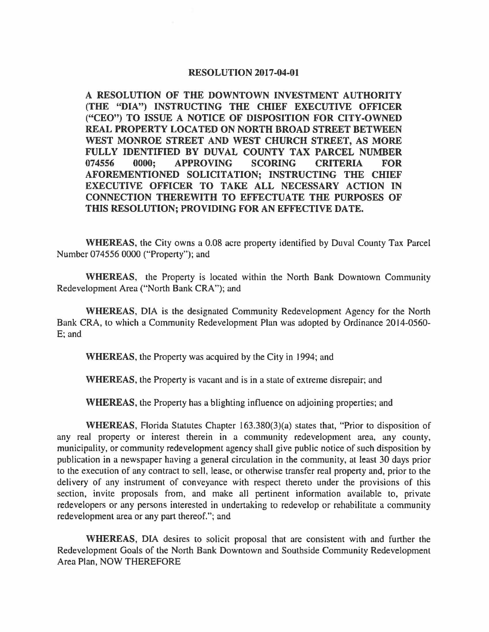## **RESOLUTION 2017-04-01**

**A RESOLUTION OF THE DOWNTOWN INVESTMENT AUTHORITY (THE "DIA") INSTRUCTING THE CHIEF EXECUTIVE OFFICER ("CEO") TO ISSUE A NOTICE OF DISPOSITION FOR CITY-OWNED REAL PROPERTY LOCATED ON NORTH BROAD STREET BETWEEN WEST MONROE STREET AND WEST CHURCH STREET, AS MORE FULLY IDENTIFIED BY DUVAL COUNTY TAX PARCEL NUMBER 074556 0000; APPROVING SCORING CRITERIA FOR AFOREMENTIONED SOLICITATION; INSTRUCTING THE CHIEF EXECUTIVE OFFICER TO TAKE ALL NECESSARY ACTION IN CONNECTION THEREWITH TO EFFECTUATE THE PURPOSES OF THIS RESOLUTION; PROVIDING FOR AN EFFECTIVE DATE.** 

**WHEREAS,** the City owns a 0.08 acre property identified by Duval County Tax Parcel Number 074556 0000 ("Property"); and

**WHEREAS,** the Property is located within the North Bank Downtown Community Redevelopment Area ("North Bank CRA"); and

**WHEREAS,** DIA is the designated Community Redevelopment Agency for the North Bank CRA, to which a Community Redevelopment Plan was adopted by Ordinance 2014-0560- E; and

**WHEREAS,** the Property was acquired by the City in 1994; and

**WHEREAS,** the Property is vacant and is in a state of extreme disrepair; and

**WHEREAS,** the Property has a blighting influence on adjoining properties; and

**WHEREAS,** Florida Statutes Chapter 163.380(3)(a) states that, "Prior to disposition of any real property or interest therein in a community redevelopment area, any county, municipality, or community redevelopment agency shall give public notice of such disposition by publication in a newspaper having a general circulation in the community, at least 30 days prior to the execution of any contract to sell, lease, or otherwise transfer real property and, prior to the delivery of any instrument of conveyance with respect thereto under the provisions of this section, invite proposals from, and make all pertinent information available to, private redevelopers or any persons interested in undertaking to redevelop or rehabilitate a community redevelopment area or any part thereof."; and

**WHEREAS,** DIA desires to solicit proposal that are consistent with and further the Redevelopment Goals of the North Bank Downtown and Southside Community Redevelopment Area Plan, NOW THEREFORE